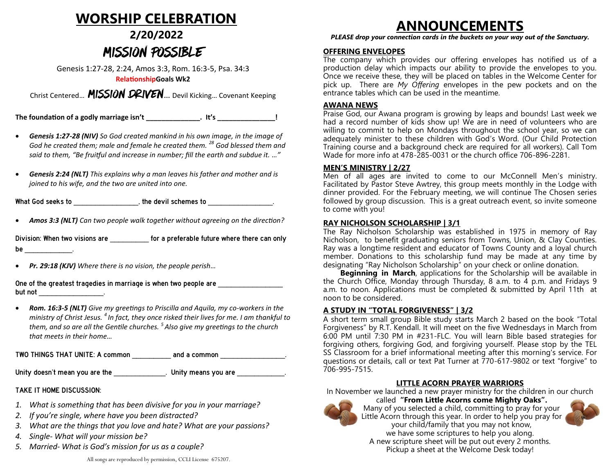## **WORSHIP CELEBRATION**

## **2/20/2022** MISSION POSSIBLE

Genesis 1:27-28, 2:24, Amos 3:3, Rom. 16:3-5, Psa. 34:3

#### **RelationshipGoals Wk2**

Christ Centered... MISSION DRIVEN... Devil Kicking... Covenant Keeping

**The foundation of a godly marriage isn't \_\_\_\_\_\_\_\_\_\_\_\_\_\_. It's \_\_\_\_\_\_\_\_\_\_\_\_\_\_\_!**

- *Genesis 1:27-28 (NIV) So God created mankind in his own image, in the image of God he created them; male and female he created them. <sup>28</sup> God blessed them and said to them, "Be fruitful and increase in number; fill the earth and subdue it. …"*
- *Genesis 2:24 (NLT) This explains why a man leaves his father and mother and is joined to his wife, and the two are united into one.*

What God seeks to \_\_\_\_\_\_\_\_\_\_\_\_\_\_\_, the devil schemes to \_\_\_\_\_\_\_\_\_\_\_\_\_\_\_.

• *Amos 3:3 (NLT) Can two people walk together without agreeing on the direction?* 

Division: When two visions are **the computer of a preferable future where there can only**  $be$   $\qquad \qquad$ 

• *Pr. 29:18 (KJV) Where there is no vision, the people perish…*

one of the greatest tragedies in marriage is made the people are <u>\_\_\_\_\_\_\_\_\_\_\_\_\_\_\_\_\_\_\_\_\_\_</u><br>but not but not <u>\_\_\_\_\_\_\_\_\_\_\_\_\_\_\_\_\_\_\_\_\_</u>.

• *Rom. 16:3-5 (NLT) Give my greetings to Priscilla and Aquila, my co-workers in the ministry of Christ Jesus. <sup>4</sup>In fact, they once risked their lives for me. I am thankful to them, and so are all the Gentile churches. <sup>5</sup>Also give my greetings to the church that meets in their home…* 

TWO THINGS THAT UNITE: A common \_\_\_\_\_\_\_\_\_ and a common \_\_\_\_\_\_\_\_\_\_\_\_\_\_\_.

Unity doesn't mean you are the \_\_\_\_\_\_\_\_\_\_\_\_\_\_. Unity means you are \_\_\_\_\_\_\_\_\_\_\_\_.

TAKE IT HOME DISCUSSION: TAKE IT HOME DISCUSSION:

- *1. What is something that has been divisive for you in your marriage?*
- *2. If you're single, where have you been distracted?*
- *3. What are the things that you love and hate? What are your passions?*
- *4. Single- What will your mission be?*
- *5. Married- What is God's mission for us as a couple?*

*PLEASE drop your connection cards in the buckets on your way out of the Sanctuary.*

#### **OFFERING ENVELOPES**

The company which provides our offering envelopes has notified us of a production delay which impacts our ability to provide the envelopes to you. Once we receive these, they will be placed on tables in the Welcome Center for pick up. There are *My Offering* envelopes in the pew pockets and on the entrance tables which can be used in the meantime.

#### **AWANA NEWS**

Praise God, our Awana program is growing by leaps and bounds! Last week we had a record number of kids show up! We are in need of volunteers who are willing to commit to help on Mondays throughout the school year, so we can adequately minister to these children with God's Word. (Our Child Protection Training course and a background check are required for all workers). Call Tom Wade for more info at 478-285-0031 or the church office 706-896-2281.

#### **MEN'S MINISTRY | 2/27**

Men of all ages are invited to come to our McConnell Men's ministry. Facilitated by Pastor Steve Awtrey, this group meets monthly in the Lodge with dinner provided. For the February meeting, we will continue The Chosen series followed by group discussion. This is a great outreach event, so invite someone to come with you!

#### **RAY NICHOLSON SCHOLARSHIP | 3/1**

The Ray Nicholson Scholarship was established in 1975 in memory of Ray Nicholson, to benefit graduating seniors from Towns, Union, & Clay Counties. Ray was a longtime resident and educator of Towns County and a loyal church member. Donations to this scholarship fund may be made at any time by designating "Ray Nicholson Scholarship" on your check or online donation.

 **Beginning in March**, applications for the Scholarship will be available in the Church Office, Monday through Thursday, 8 a.m. to 4 p.m. and Fridays 9 a.m. to noon. Applications must be completed & submitted by April 11th at noon to be considered.

#### **A STUDY IN "TOTAL FORGIVENESS" | 3/2**

A short term small group Bible study starts March 2 based on the book "Total Forgiveness" by R.T. Kendall. It will meet on the five Wednesdays in March from 6:00 PM until 7:30 PM in #231-FLC. You will learn Bible based strategies for forgiving others, forgiving God, and forgiving yourself. Please stop by the TEL SS Classroom for a brief informational meeting after this morning's service. For questions or details, call or text Pat Turner at 770-617-9802 or text "forgive" to 706-995-7515.

#### **LITTLE ACORN PRAYER WARRIORS**

In November we launched a new prayer ministry for the children in our church



called **"From Little Acorns come Mighty Oaks".**  Many of you selected a child, committing to pray for your Little Acorn through this year. In order to help you pray for your child/family that you may not know, we have some scriptures to help you along.

A new scripture sheet will be put out every 2 months. Pickup a sheet at the Welcome Desk today!